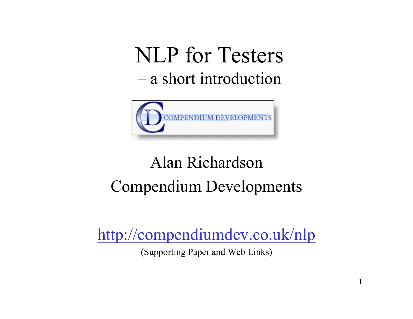NLP for Testers –a short introduction



#### Alan RichardsonCompendium Developments

http://compendiumdev.co.uk/nlp

(Supporting Paper and Web Links)

1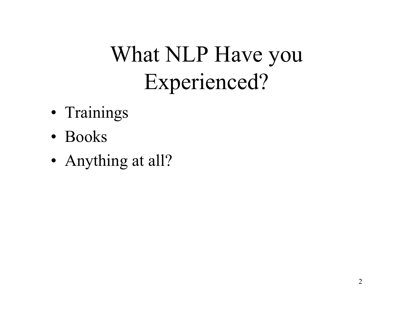# What NLP Have you Experienced?

- •• Trainings
- Books
- •• Anything at all?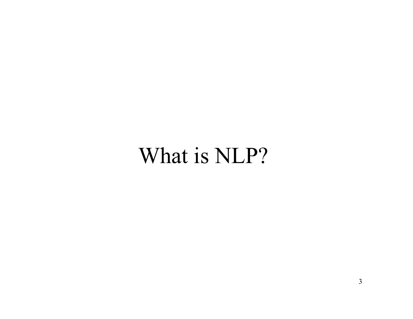### What is NLP?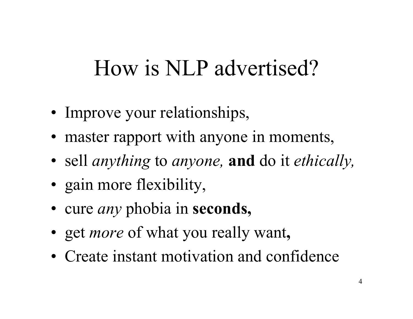## How is NLP advertised?

- •• Improve your relationships,
- master rapport with anyone in moments,
- •sell *anything* to *anyone,* **and** do it *ethically,*
- •• gain more flexibility,
- cure *any* phobia in **seconds**,
- g e t *more* of what you really want **,**
- Create instant motivation and confidence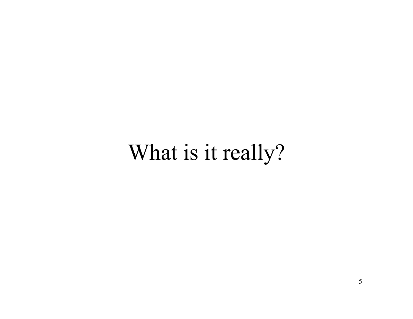### What is it really?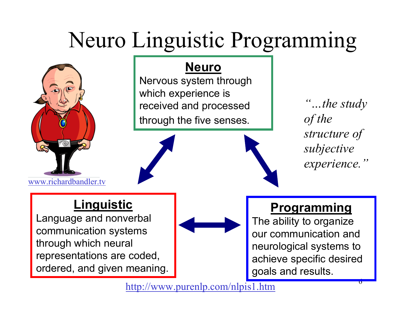# Neuro Linguistic Programming



Nervous system through which experience is received and processed through the five senses.

*"…the study of the structure of subjective experience."*

#### **Linguistic**

www.richardbandler.tv

Language and nonverbal communication systems through which neural representations are coded, ordered, and given meaning.



#### **Programming**

The ability to organiz e our communication and neurological systems to achieve specific desired goals and results.

http://www.p urenlp.com/nlpis1.htm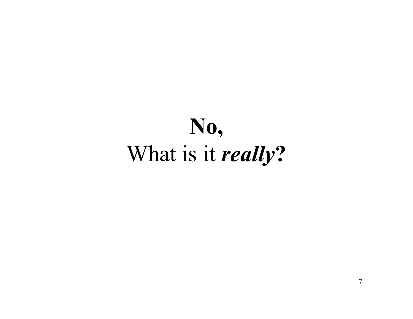# **No,**  What is it *really***?**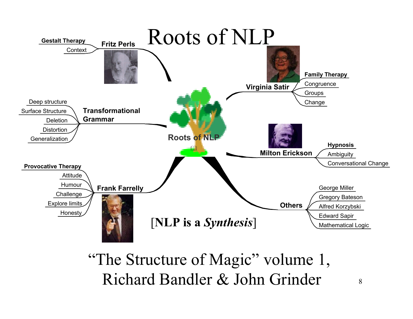

#### "The Structure of Magic" volume 1, Richard Bandler & John Grinder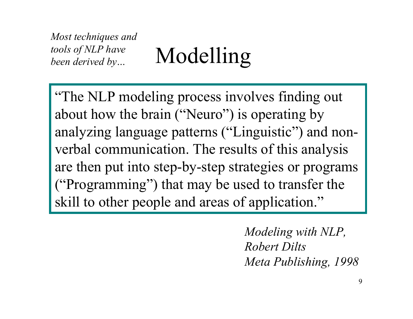*Most techniques and tools of NLP have* 

*been derived by...* Modelling

"The NLP modeling process involves finding out about how the brain ("Neuro") is operating by analyzing language patterns ("Linguistic") and nonverbal communication. The results of this analysis are then put into step-by-step strategies or programs ("Programming") that may be used to transfer the skill to other people and areas of application."

> *Modeling with NLP, Robert DiltsMeta Publishing, 1998*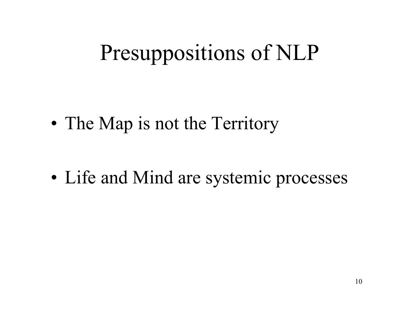# Presuppositions of NLP

•• The Map is not the Territory

•• Life and Mind are systemic processes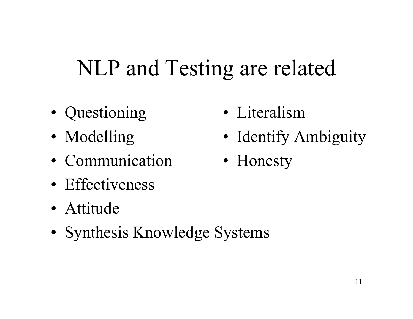## NLP and Testing are related

- •• Questioning
- •• Modelling
- Communication
- Effectiveness
- •Attitude
- •• Synthesis Knowledge Systems
- •Literalism
- •• Identify Ambiguity
- •• Honesty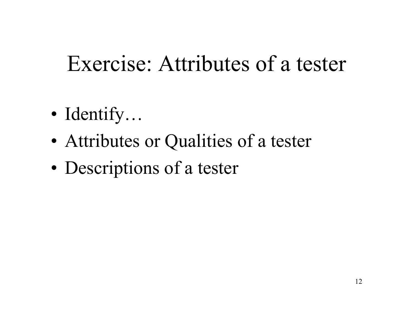### Exercise: Attributes of a tester

- •Identify…
- •Attributes or Qualities of a tester
- •Descriptions of a tester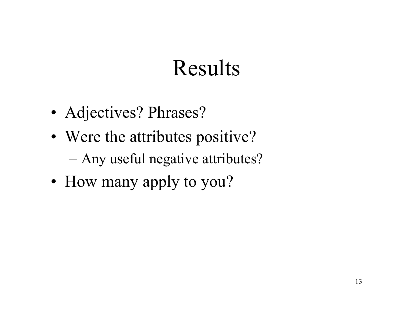### Results

- Adjectives? Phrases?
- Were the attributes positive? Any useful negative attributes?
- How many apply to you?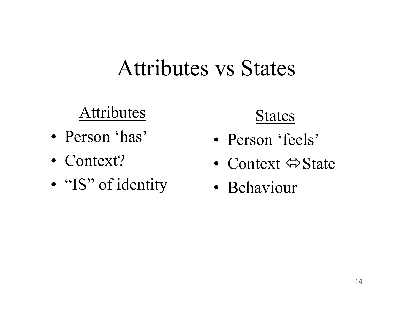#### Attributes vs States

#### Attributes

- •Person 'has'
- Context?
- •• "IS" of identity

#### States

- Person 'feels'
- Context ⇔State
- Behaviour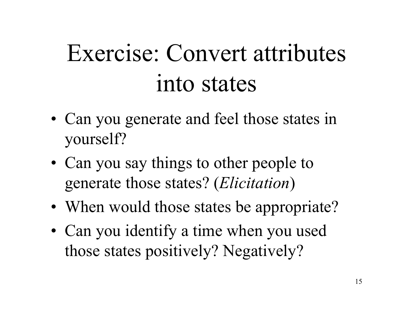# Exercise: Convert attributes into states

- •• Can you generate and feel those states in yourself?
- •• Can you say things to other people to generate those states? (*Elicitation* )
- •• When would those states be appropriate?
- •• Can you identify a time when you used those states positively? Negatively?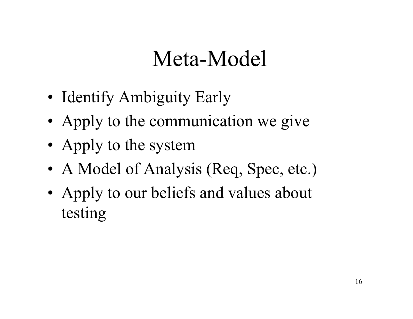## Meta-Model

- Identify Ambiguity Early
- Apply to the communication we give
- Apply to the system
- A Model of Analysis (Req, Spec, etc.)
- Apply to our beliefs and values about testing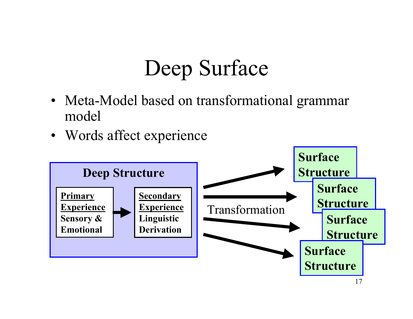# Deep Surface

- Meta-Model based on transformational grammar model
- Words affect experience

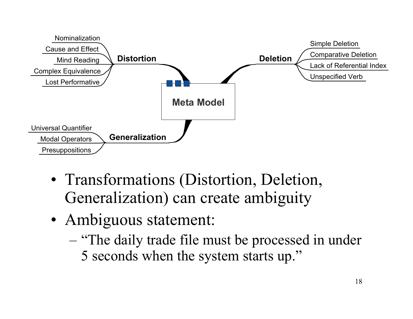

- Transformations (Distortion, Deletion, Generalization) can create ambiguity
- Ambiguous statement:
	- "The daily trade file must be processed in under 5 seconds when the system starts up."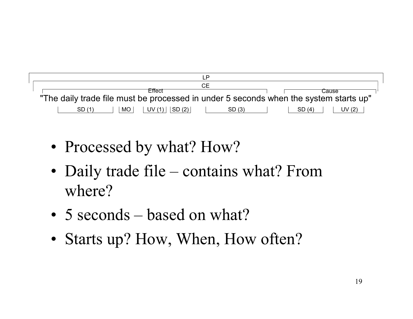

- Processed by what? How?
- Daily trade file contains what? From where?
- 5 seconds based on what?
- Starts up? How, When, How often?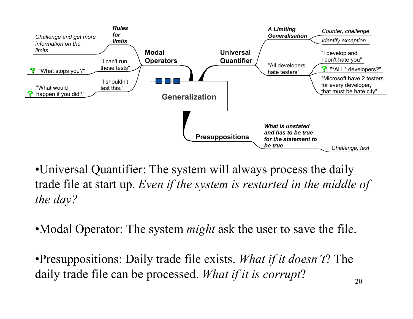

•Universal Quantifier: The system will always process the daily trade file at start up. *Even if the system is restarted in the middle of the day?*

•Modal Operator: The system *might* ask the user to save the file.

•Presuppositions: Daily trade file exists. *What if it doesn't*? The daily trade file can be processed. *What if it is corrupt*?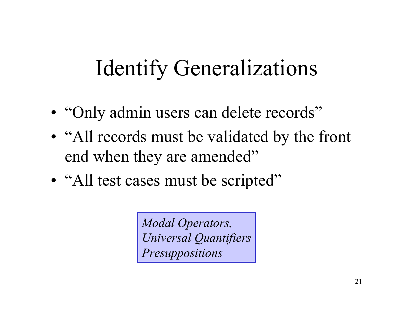# Identify Generalizations

- •• "Only admin users can delete records"
- •• "All records must be validated by the front end when they are amended"
- •• "All test cases must be scripted"

*Modal Operators, Universal Quantifiers Presuppositions*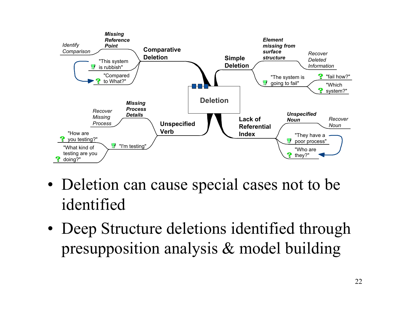

- Deletion can cause special cases not to be identified
- Deep Structure deletions identified through presupposition analysis & model building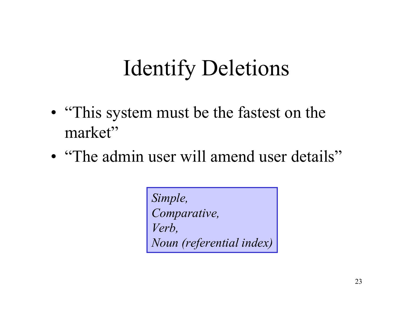# Identify Deletions

- "This system must be the fastest on the market"
- "The admin user will amend user details"

*Simple, Comparative, Verb, Noun (referential index)*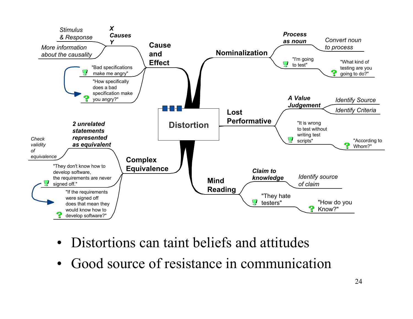

- Distortions can taint beliefs and attitudes
- •Good source of resistance in communication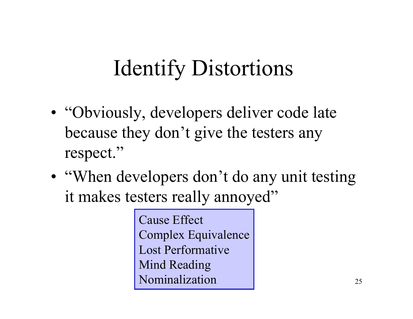# Identify Distortions

- •• "Obviously, developers deliver code late because they don't give the testers any respect."
- •• "When developers don't do any unit testing it makes testers really annoyed"

Cause Effect Complex Equivalence Lost Performative Mind Reading Nominalization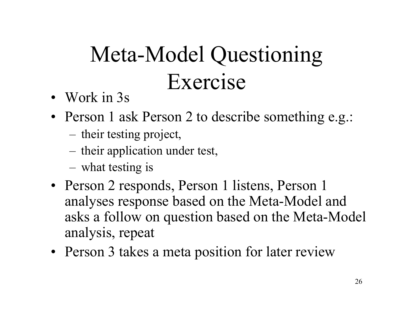# Meta-Model Questioning Exercise

- Work in 3s
- Person 1 ask Person 2 to describe something e.g.:
	- their testing project,
	- their application under test,
	- what testing is
- Person 2 responds, Person 1 listens, Person 1 analyses response based on the Meta-Model and asks a follow on question based on the Meta-Model analysis, repeat
- Person 3 takes a meta position for later review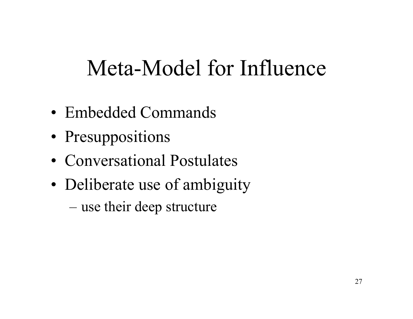## Meta-Model for Influence

- •Embedded Commands
- •• Presuppositions
- Conversational Postulates
- •• Deliberate use of ambiguity

– use their deep structure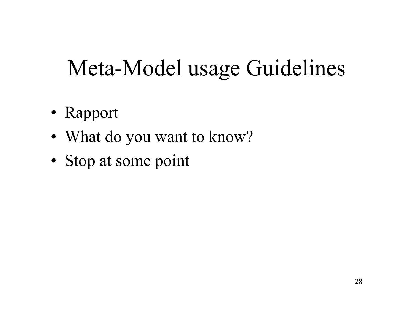## Meta-Model usage Guidelines

- •Rapport
- •What do you want to know?
- •• Stop at some point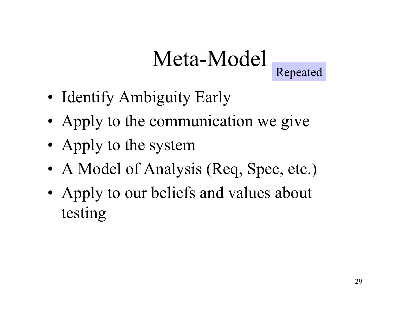# Meta-Model



- Identify Ambiguity Early
- Apply to the communication we give
- Apply to the system
- A Model of Analysis (Req, Spec, etc.)
- Apply to our beliefs and values about testing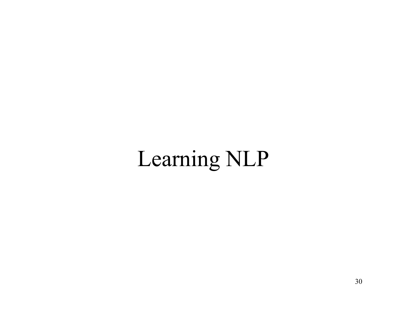# Learning NLP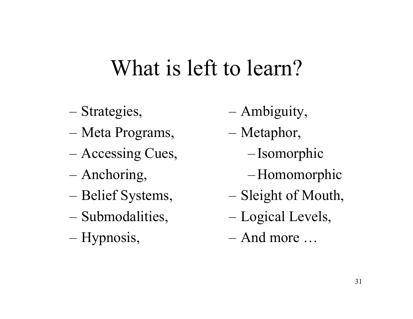### What is left to learn?

- Strategies,
- Meta Programs,
- Accessing Cues,
- Anchoring,
- Belief Systems,
- Submodalities,
- Hypnosis,
- –Ambiguity,
- Metaphor,
	- Isomorphic
	- Homomorphic
- Sleight of Mouth,
- Logical Levels,
- –And more …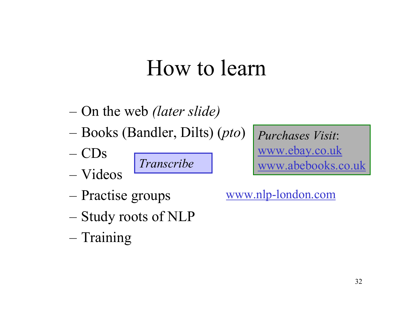### How to learn

- O n t h e w e b *(later slide)*
- Books (Bandler, Dilts) (*pto* )
- C D s
- Videos

*Transcribe*

*Purchases Visit*: www.ebay.co.uk www.abebooks.co.uk

- Practise groups
- Study roots of NLP
- Training

www.nlp-london.com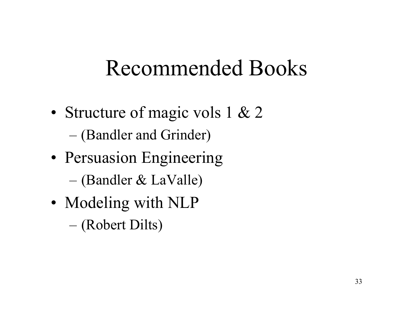## Recommended Books

- •• Structure of magic vols 1 & 2 – (Bandler and Grinder)
- •• Persuasion Engineering – (Bandler & LaValle)
- •• Modeling with NLP
	- (Robert Dilts)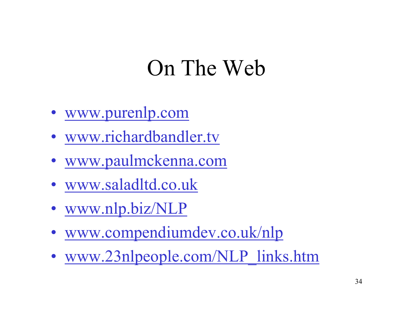### On The Web

- •www.purenlp.com
- •• www.richardbandler.tv
- •www.paulmckenna.com
- •www.saladltd.co.uk
- •• www.nlp.biz/NLP
- •www.compendiumdev.co.uk/nlp
- •• www.23nlpeople.com/NLP\_links.htm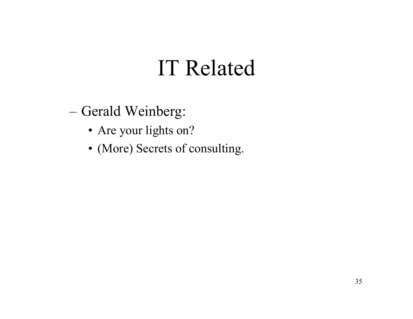## IT Related

– Gerald Weinberg:

- Are your lights on?
- (More) Secrets of consulting.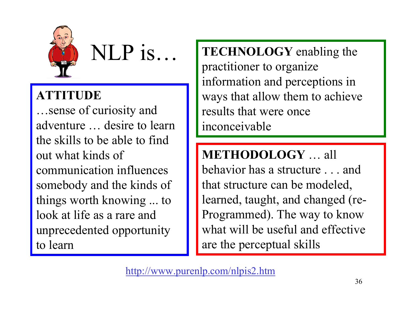

NLP is...

#### **ATTITUDE**

…sense of curiosity and adventure … desire to learn the skills to be able to find out what kinds of communication influences somebody and the kinds of things worth knowing ... to look at life as a rare and unprecedented opportunity to learn

**TECHNOLOGY** enabling the practitioner to organize information and perceptions in ways that allow them to achieve results that were once inconceivable

#### **METHODOLOGY** … all

behavior has a structure . . . and that structure can be modeled, learned, taught, and changed (re-Programmed). The way to know what will be useful and effective are the perceptual skills

http://www.purenlp.com/nlpis2.htm